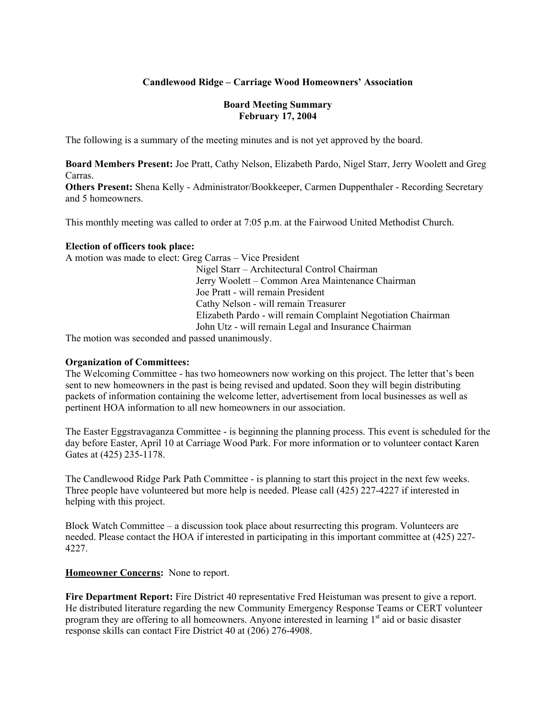## **Candlewood Ridge – Carriage Wood Homeowners' Association**

### **Board Meeting Summary February 17, 2004**

The following is a summary of the meeting minutes and is not yet approved by the board.

**Board Members Present:** Joe Pratt, Cathy Nelson, Elizabeth Pardo, Nigel Starr, Jerry Woolett and Greg Carras.

**Others Present:** Shena Kelly - Administrator/Bookkeeper, Carmen Duppenthaler - Recording Secretary and 5 homeowners.

This monthly meeting was called to order at 7:05 p.m. at the Fairwood United Methodist Church.

### **Election of officers took place:**

A motion was made to elect: Greg Carras – Vice President

Nigel Starr – Architectural Control Chairman Jerry Woolett – Common Area Maintenance Chairman Joe Pratt - will remain President Cathy Nelson - will remain Treasurer Elizabeth Pardo - will remain Complaint Negotiation Chairman John Utz - will remain Legal and Insurance Chairman

The motion was seconded and passed unanimously.

### **Organization of Committees:**

The Welcoming Committee - has two homeowners now working on this project. The letter that's been sent to new homeowners in the past is being revised and updated. Soon they will begin distributing packets of information containing the welcome letter, advertisement from local businesses as well as pertinent HOA information to all new homeowners in our association.

The Easter Eggstravaganza Committee - is beginning the planning process. This event is scheduled for the day before Easter, April 10 at Carriage Wood Park. For more information or to volunteer contact Karen Gates at (425) 235-1178.

The Candlewood Ridge Park Path Committee - is planning to start this project in the next few weeks. Three people have volunteered but more help is needed. Please call (425) 227-4227 if interested in helping with this project.

Block Watch Committee – a discussion took place about resurrecting this program. Volunteers are needed. Please contact the HOA if interested in participating in this important committee at (425) 227- 4227.

### **Homeowner Concerns:** None to report.

**Fire Department Report:** Fire District 40 representative Fred Heistuman was present to give a report. He distributed literature regarding the new Community Emergency Response Teams or CERT volunteer program they are offering to all homeowners. Anyone interested in learning 1<sup>st</sup> aid or basic disaster response skills can contact Fire District 40 at (206) 276-4908.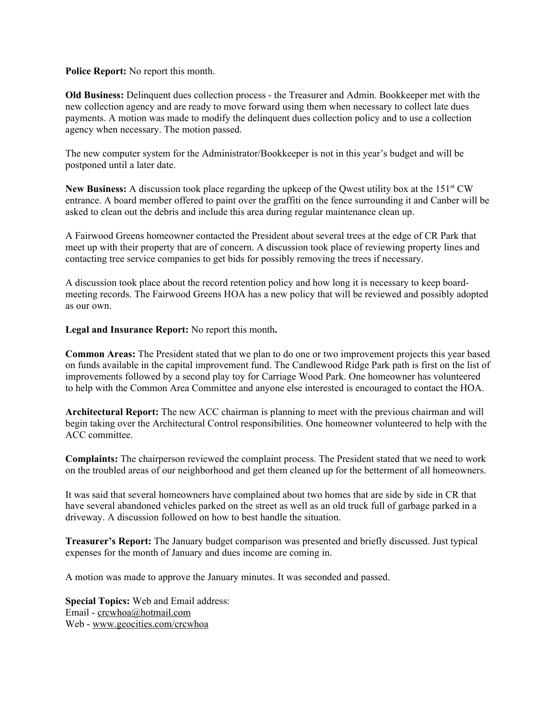**Police Report:** No report this month.

**Old Business:** Delinquent dues collection process - the Treasurer and Admin. Bookkeeper met with the new collection agency and are ready to move forward using them when necessary to collect late dues payments. A motion was made to modify the delinquent dues collection policy and to use a collection agency when necessary. The motion passed.

The new computer system for the Administrator/Bookkeeper is not in this year's budget and will be postponed until a later date.

New Business: A discussion took place regarding the upkeep of the Qwest utility box at the 151<sup>st</sup> CW entrance. A board member offered to paint over the graffiti on the fence surrounding it and Canber will be asked to clean out the debris and include this area during regular maintenance clean up.

A Fairwood Greens homeowner contacted the President about several trees at the edge of CR Park that meet up with their property that are of concern. A discussion took place of reviewing property lines and contacting tree service companies to get bids for possibly removing the trees if necessary.

A discussion took place about the record retention policy and how long it is necessary to keep boardmeeting records. The Fairwood Greens HOA has a new policy that will be reviewed and possibly adopted as our own.

**Legal and Insurance Report:** No report this month**.**

**Common Areas:** The President stated that we plan to do one or two improvement projects this year based on funds available in the capital improvement fund. The Candlewood Ridge Park path is first on the list of improvements followed by a second play toy for Carriage Wood Park. One homeowner has volunteered to help with the Common Area Committee and anyone else interested is encouraged to contact the HOA.

**Architectural Report:** The new ACC chairman is planning to meet with the previous chairman and will begin taking over the Architectural Control responsibilities. One homeowner volunteered to help with the ACC committee.

**Complaints:** The chairperson reviewed the complaint process. The President stated that we need to work on the troubled areas of our neighborhood and get them cleaned up for the betterment of all homeowners.

It was said that several homeowners have complained about two homes that are side by side in CR that have several abandoned vehicles parked on the street as well as an old truck full of garbage parked in a driveway. A discussion followed on how to best handle the situation.

**Treasurer's Report:** The January budget comparison was presented and briefly discussed. Just typical expenses for the month of January and dues income are coming in.

A motion was made to approve the January minutes. It was seconded and passed.

**Special Topics:** Web and Email address: Email - crcwhoa@hotmail.com Web - www.geocities.com/crcwhoa